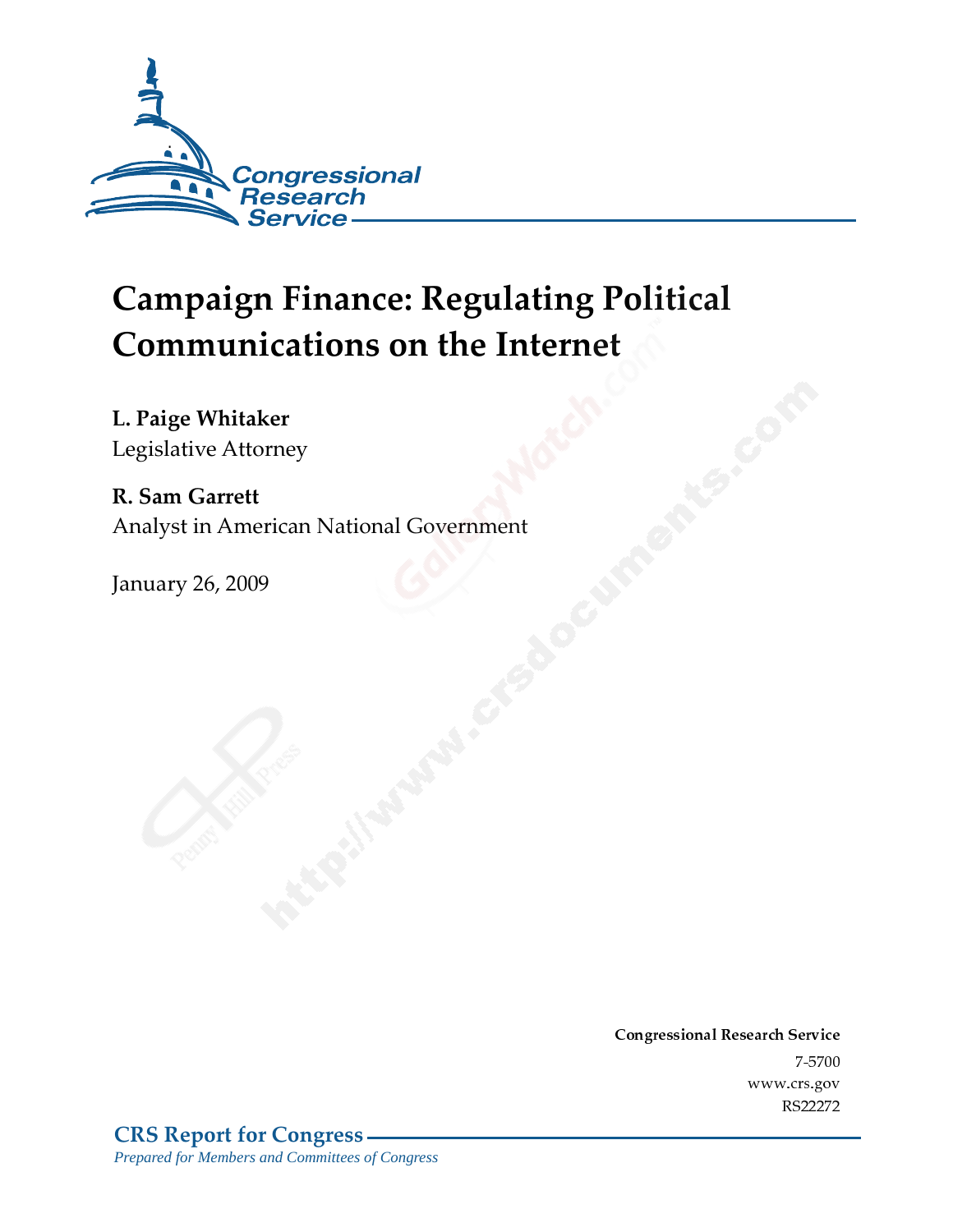

# **Campaign Finance: Regulating Political Communications on the Internet**

L. Paige Whitaker

Legislative Attorney

R. Sam Garrett Analyst in American National Government

**January 26, 2009** 

Conglessional Research Service  $7 - 2700$ www.cis.gov RS22272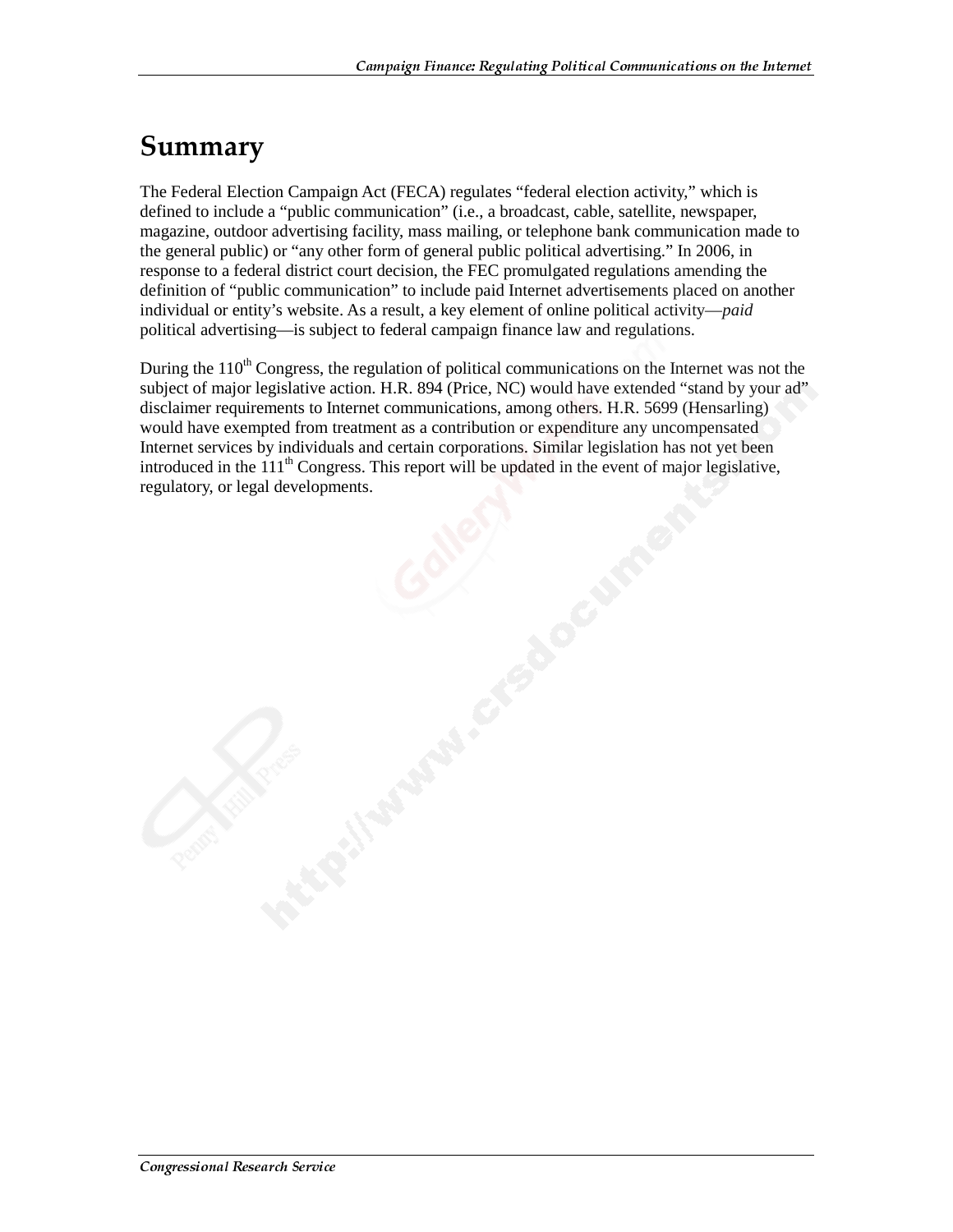# Summary

The Federal Election Campaign Act (FECA) regulates "federal election activity," which is defined to include a "public communication" (i.e., a broadcast, cable, satellite, newspaper, magazine, outdoor advertising facility, mass mailing, or telephone bank communication made to the general public) or "any other form of general public political advertising." In 2006, in response to a federal district court decision, the FEC promulgated regulations amending the definition of "public communication" to include paid Internet advertisements placed on another individual or entity's website. As a result, a key element of online political activity—*paid* political advertising—is subject to federal campaign finance law and regulations.

During the  $110<sup>th</sup>$  Congress, the regulation of political communications on the Internet was not the subject of major legislative action. H.R. 894 (Price, NC) would have extended "stand by your ad" disclaimer requirements to Internet communications, among others. H.R. 5699 (Hensarling) would have exempted from treatment as a contribution or expenditure any uncompensated Internet services by individuals and certain corporations. Similar legislation has not yet been introduced in the  $111<sup>th</sup>$  Congress. This report will be updated in the event of major legislative, regulatory, or legal developments.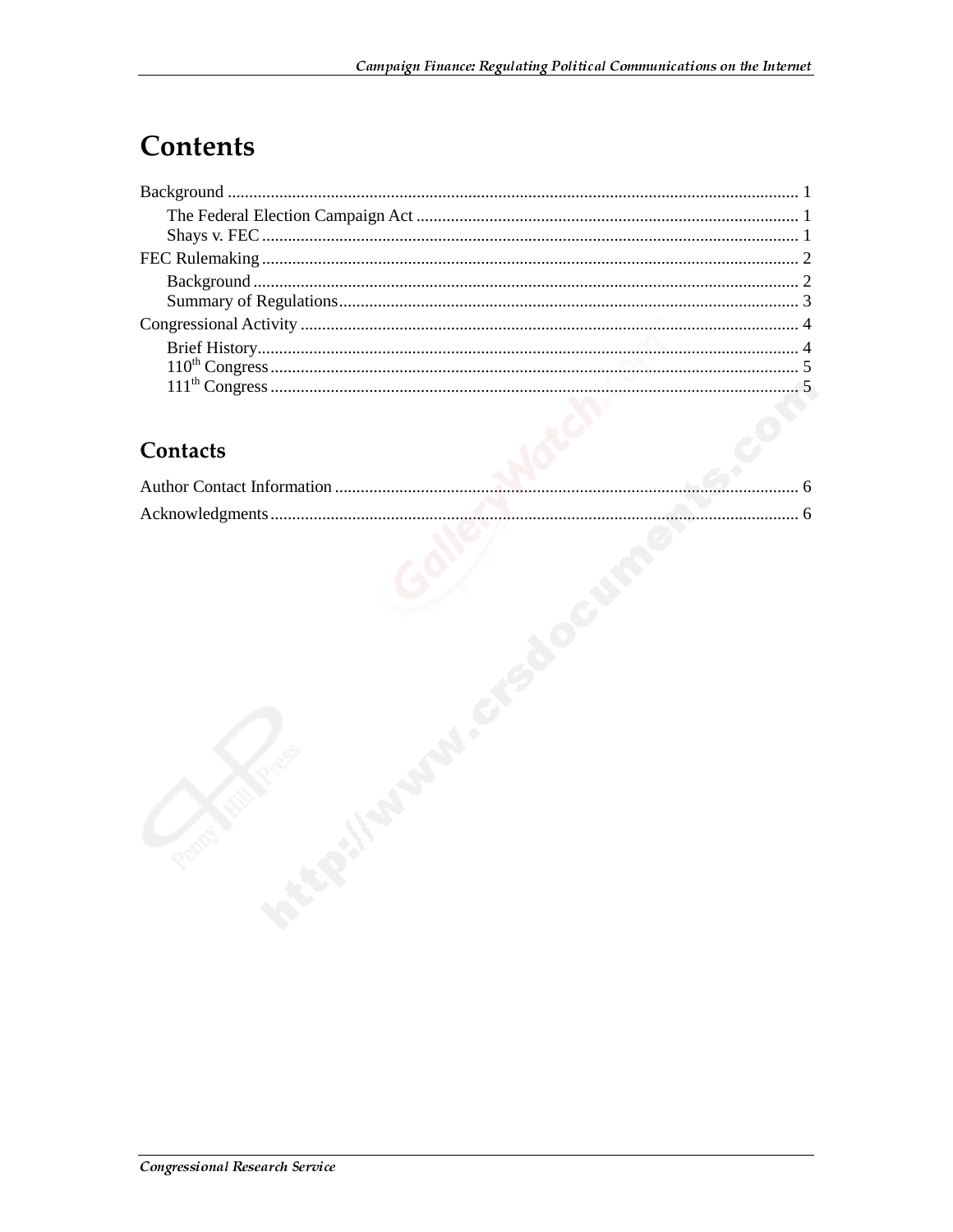# **Contents**

#### Contacts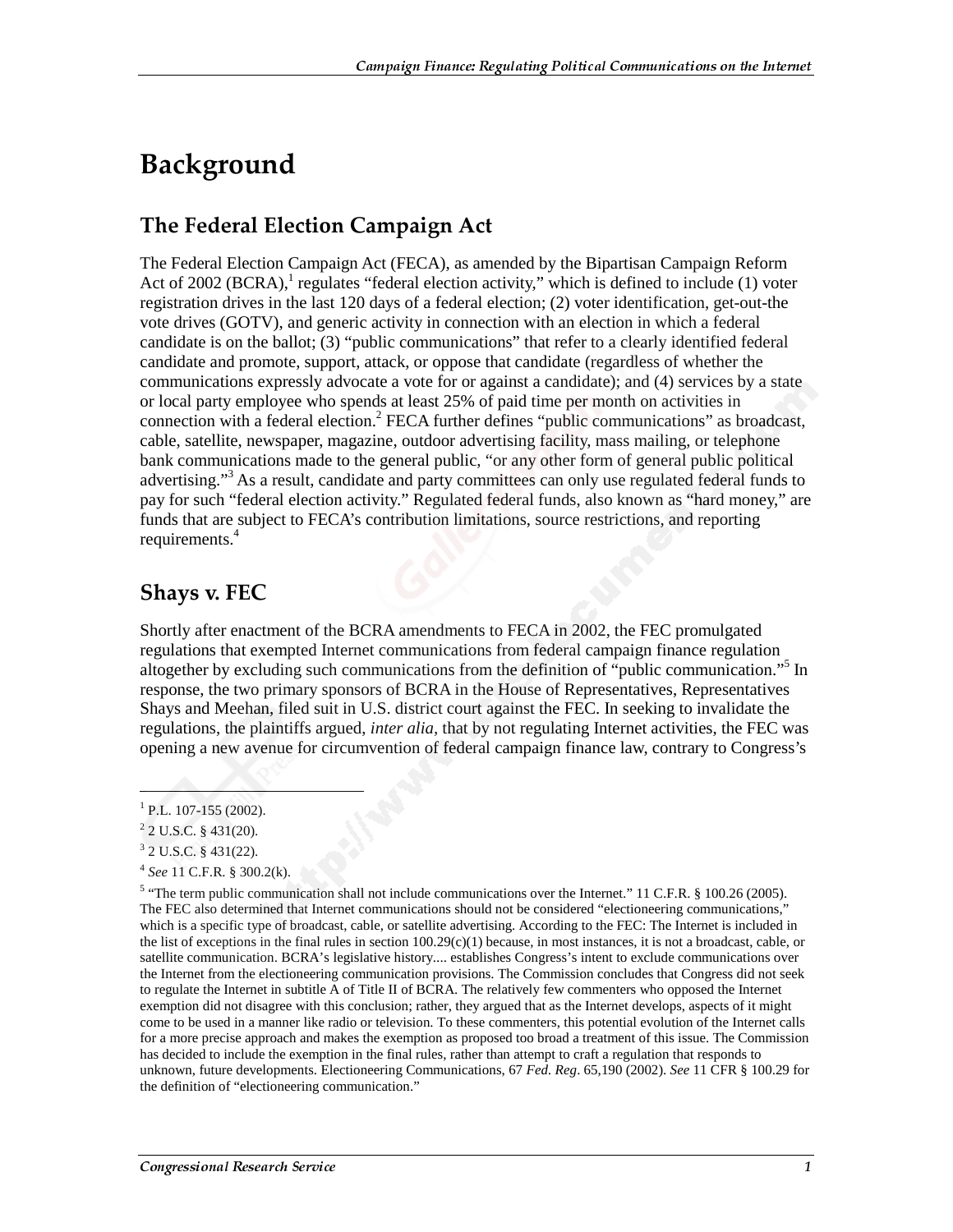### Background

#### The Federal Election Campaign Act

The Federal Election Campaign Act (FECA), as amended by the Bipartisan Campaign Reform Act of 2002 (BCRA),<sup>1</sup> regulates "federal election activity," which is defined to include (1) voter registration drives in the last 120 days of a federal election; (2) voter identification, get-out-the vote drives (GOTV), and generic activity in connection with an election in which a federal candidate is on the ballot; (3) "public communications" that refer to a clearly identified federal candidate and promote, support, attack, or oppose that candidate (regardless of whether the communications expressly advocate a vote for or against a candidate); and (4) services by a state or local party employee who spends at least 25% of paid time per month on activities in connection with a federal election.<sup>2</sup> FECA further defines "public communications" as broadcast, cable, satellite, newspaper, magazine, outdoor advertising facility, mass mailing, or telephone bank communications made to the general public, "or any other form of general public political advertising."<sup>3</sup> As a result, candidate and party committees can only use regulated federal funds to pay for such "federal election activity." Regulated federal funds, also known as "hard money," are funds that are subject to FECA's contribution limitations, source restrictions, and reporting requirements.<sup>4</sup>

#### **Shays v. FEC**

Shortly after enactment of the BCRA amendments to FECA in 2002, the FEC promulgated regulations that exempted Internet communications from federal campaign finance regulation altogether by excluding such communications from the definition of "public communication."5 In response, the two primary sponsors of BCRA in the House of Representatives, Representatives Shays and Meehan, filed suit in U.S. district court against the FEC. In seeking to invalidate the regulations, the plaintiffs argued, *inter alia,* that by not regulating Internet activities, the FEC was opening a new avenue for circumvention of federal campaign finance law, contrary to Congress's

 $\overline{a}$ 

 $1$  P.L. 107-155 (2002).

 $2$  2 U.S.C. § 431(20).

 $3$  2 U.S.C. § 431(22).

<sup>4</sup> *See* 11 C.F.R. § 300.2(k).

<sup>&</sup>lt;sup>5</sup> "The term public communication shall not include communications over the Internet." 11 C.F.R. § 100.26 (2005). The FEC also determined that Internet communications should not be considered "electioneering communications," which is a specific type of broadcast, cable, or satellite advertising. According to the FEC: The Internet is included in the list of exceptions in the final rules in section  $100.29(c)(1)$  because, in most instances, it is not a broadcast, cable, or satellite communication. BCRA's legislative history.... establishes Congress's intent to exclude communications over the Internet from the electioneering communication provisions. The Commission concludes that Congress did not seek to regulate the Internet in subtitle A of Title II of BCRA. The relatively few commenters who opposed the Internet exemption did not disagree with this conclusion; rather, they argued that as the Internet develops, aspects of it might come to be used in a manner like radio or television. To these commenters, this potential evolution of the Internet calls for a more precise approach and makes the exemption as proposed too broad a treatment of this issue. The Commission has decided to include the exemption in the final rules, rather than attempt to craft a regulation that responds to unknown, future developments. Electioneering Communications, 67 *Fed. Reg*. 65,190 (2002). *See* 11 CFR § 100.29 for the definition of "electioneering communication."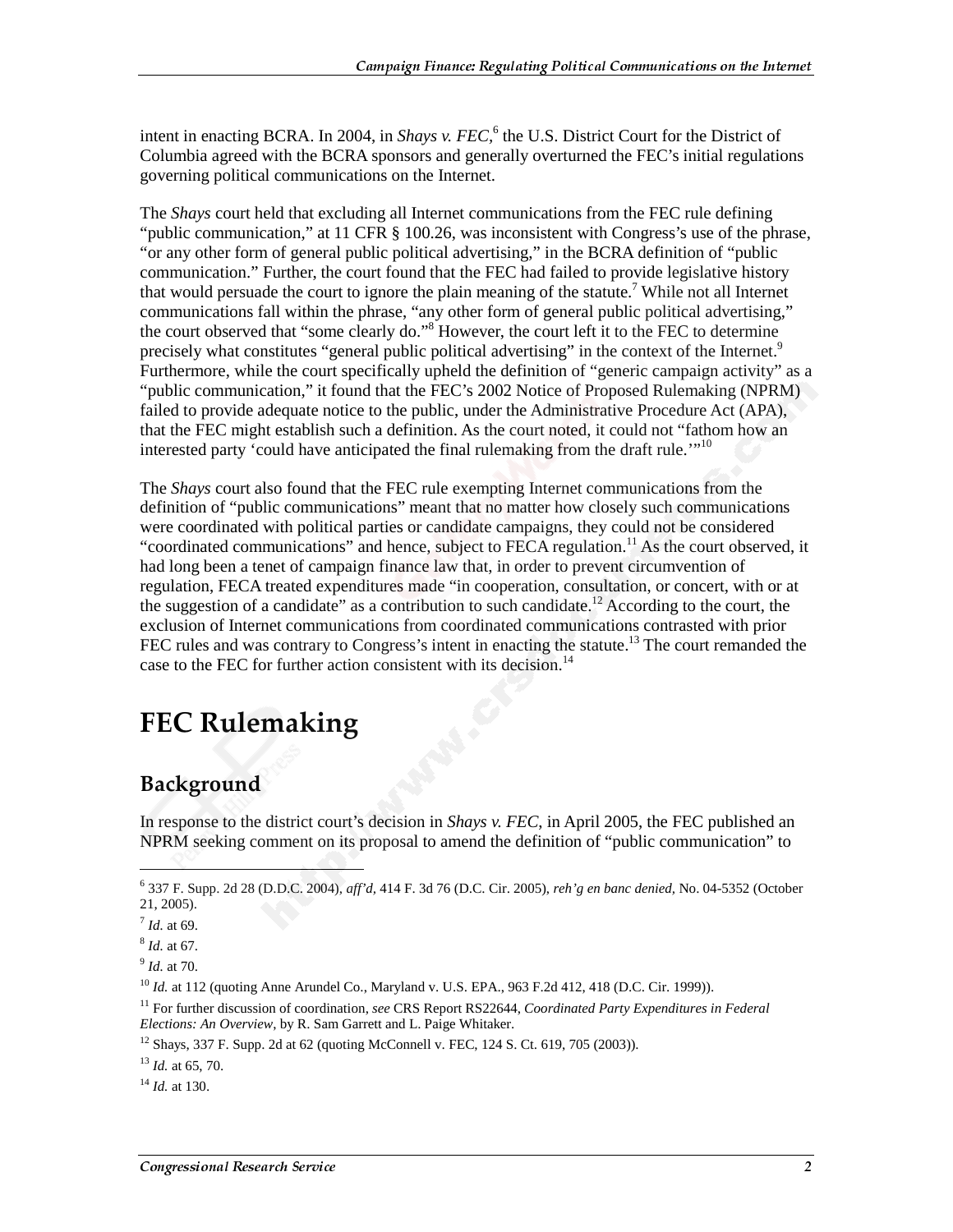intent in enacting BCRA. In 2004, in *Shays v. FEC*,<sup>6</sup> the U.S. District Court for the District of Columbia agreed with the BCRA sponsors and generally overturned the FEC's initial regulations governing political communications on the Internet.

The *Shays* court held that excluding all Internet communications from the FEC rule defining "public communication," at 11 CFR  $\frac{8}{100.26}$ , was inconsistent with Congress's use of the phrase, "or any other form of general public political advertising," in the BCRA definition of "public communication." Further, the court found that the FEC had failed to provide legislative history that would persuade the court to ignore the plain meaning of the statute.<sup>7</sup> While not all Internet communications fall within the phrase, "any other form of general public political advertising," the court observed that "some clearly do."<sup>8</sup> However, the court left it to the FEC to determine precisely what constitutes "general public political advertising" in the context of the Internet.<sup>9</sup> Furthermore, while the court specifically upheld the definition of "generic campaign activity" as a "public communication," it found that the FEC's 2002 Notice of Proposed Rulemaking (NPRM) failed to provide adequate notice to the public, under the Administrative Procedure Act (APA), that the FEC might establish such a definition. As the court noted, it could not "fathom how an interested party 'could have anticipated the final rulemaking from the draft rule.'"<sup>10</sup>

The *Shays* court also found that the FEC rule exempting Internet communications from the definition of "public communications" meant that no matter how closely such communications were coordinated with political parties or candidate campaigns, they could not be considered "coordinated communications" and hence, subject to FECA regulation.<sup>11</sup> As the court observed, it had long been a tenet of campaign finance law that, in order to prevent circumvention of regulation, FECA treated expenditures made "in cooperation, consultation, or concert, with or at the suggestion of a candidate" as a contribution to such candidate.<sup>12</sup> According to the court, the exclusion of Internet communications from coordinated communications contrasted with prior FEC rules and was contrary to Congress's intent in enacting the statute.<sup>13</sup> The court remanded the case to the FEC for further action consistent with its decision.<sup>14</sup>

# **FEC Rulemaking**

#### **Background**

In response to the district court's decision in *Shays v. FEC*, in April 2005, the FEC published an NPRM seeking comment on its proposal to amend the definition of "public communication" to

 $\overline{a}$ 

<sup>6</sup> 337 F. Supp. 2d 28 (D.D.C. 2004), *aff'd,* 414 F. 3d 76 (D.C. Cir. 2005), *reh'g en banc denied,* No. 04-5352 (October 21, 2005).

 $^{7}$  *Id.* at 69.

<sup>8</sup> *Id.* at 67.

<sup>9</sup> *Id.* at 70.

<sup>&</sup>lt;sup>10</sup> *Id.* at 112 (quoting Anne Arundel Co., Maryland v. U.S. EPA., 963 F.2d 412, 418 (D.C. Cir. 1999)).

<sup>11</sup> For further discussion of coordination, *see* CRS Report RS22644, *Coordinated Party Expenditures in Federal Elections: An Overview*, by R. Sam Garrett and L. Paige Whitaker.

<sup>12</sup> Shays, 337 F. Supp. 2d at 62 (quoting McConnell v. FEC, 124 S. Ct. 619, 705 (2003)).

<sup>13</sup> *Id.* at 65, 70.

<sup>14</sup> *Id.* at 130.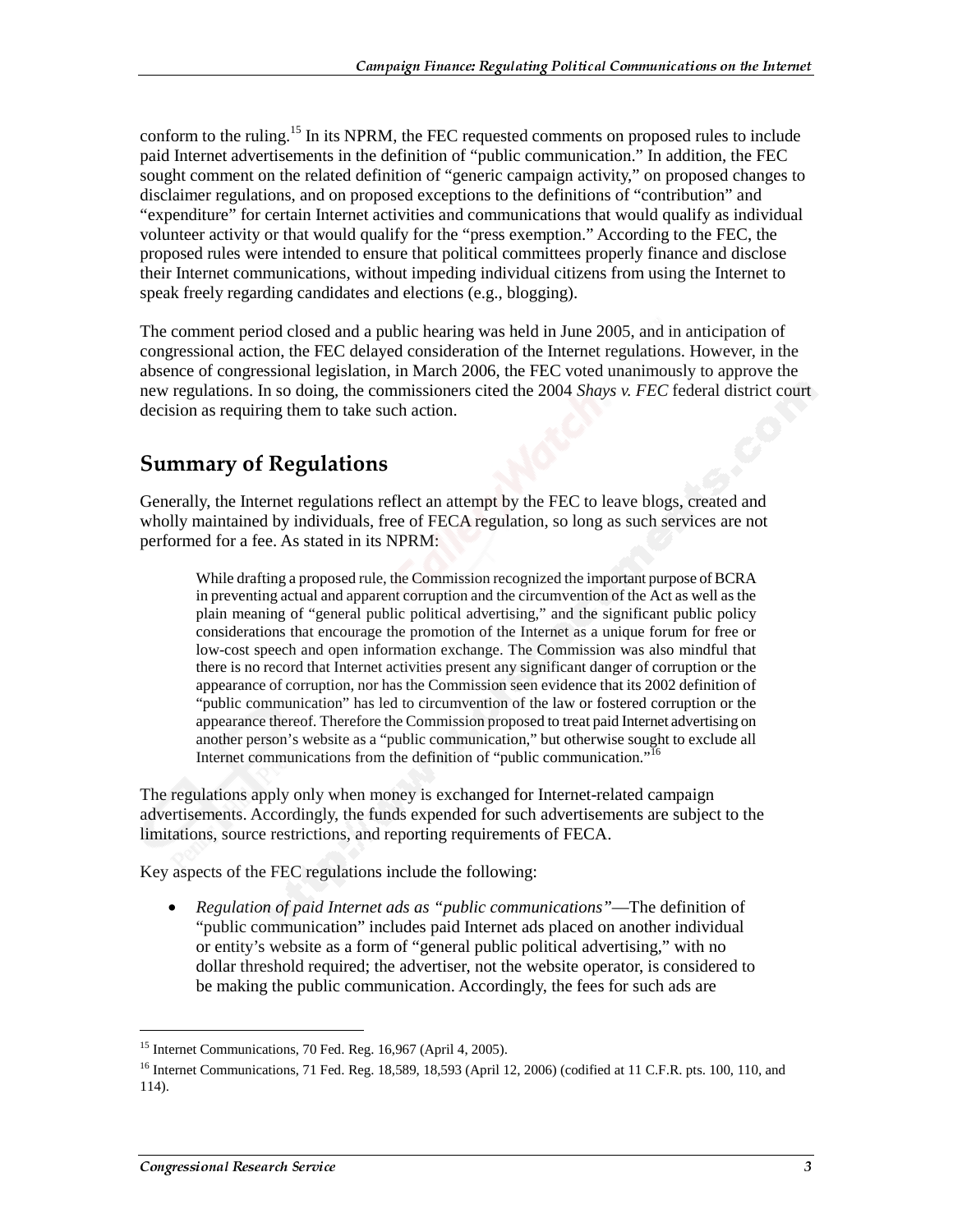conform to the ruling.<sup>15</sup> In its NPRM, the FEC requested comments on proposed rules to include paid Internet advertisements in the definition of "public communication." In addition, the FEC sought comment on the related definition of "generic campaign activity," on proposed changes to disclaimer regulations, and on proposed exceptions to the definitions of "contribution" and "expenditure" for certain Internet activities and communications that would qualify as individual volunteer activity or that would qualify for the "press exemption." According to the FEC, the proposed rules were intended to ensure that political committees properly finance and disclose their Internet communications, without impeding individual citizens from using the Internet to speak freely regarding candidates and elections (e.g., blogging).

The comment period closed and a public hearing was held in June 2005, and in anticipation of congressional action, the FEC delayed consideration of the Internet regulations. However, in the absence of congressional legislation, in March 2006, the FEC voted unanimously to approve the new regulations. In so doing, the commissioners cited the 2004 *Shays v. FEC* federal district court decision as requiring them to take such action.

#### **Summary of Regulations**

Generally, the Internet regulations reflect an attempt by the FEC to leave blogs, created and wholly maintained by individuals, free of FECA regulation, so long as such services are not performed for a fee. As stated in its NPRM:

While drafting a proposed rule, the Commission recognized the important purpose of BCRA in preventing actual and apparent corruption and the circumvention of the Act as well as the plain meaning of "general public political advertising," and the significant public policy considerations that encourage the promotion of the Internet as a unique forum for free or low-cost speech and open information exchange. The Commission was also mindful that there is no record that Internet activities present any significant danger of corruption or the appearance of corruption, nor has the Commission seen evidence that its 2002 definition of "public communication" has led to circumvention of the law or fostered corruption or the appearance thereof. Therefore the Commission proposed to treat paid Internet advertising on another person's website as a "public communication," but otherwise sought to exclude all Internet communications from the definition of "public communication."<sup>16</sup>

The regulations apply only when money is exchanged for Internet-related campaign advertisements. Accordingly, the funds expended for such advertisements are subject to the limitations, source restrictions, and reporting requirements of FECA.

Key aspects of the FEC regulations include the following:

• *Regulation of paid Internet ads as "public communications"*—The definition of "public communication" includes paid Internet ads placed on another individual or entity's website as a form of "general public political advertising," with no dollar threshold required; the advertiser, not the website operator, is considered to be making the public communication. Accordingly, the fees for such ads are

j

<sup>&</sup>lt;sup>15</sup> Internet Communications, 70 Fed. Reg. 16,967 (April 4, 2005).

<sup>&</sup>lt;sup>16</sup> Internet Communications, 71 Fed. Reg. 18,589, 18,593 (April 12, 2006) (codified at 11 C.F.R. pts. 100, 110, and 114).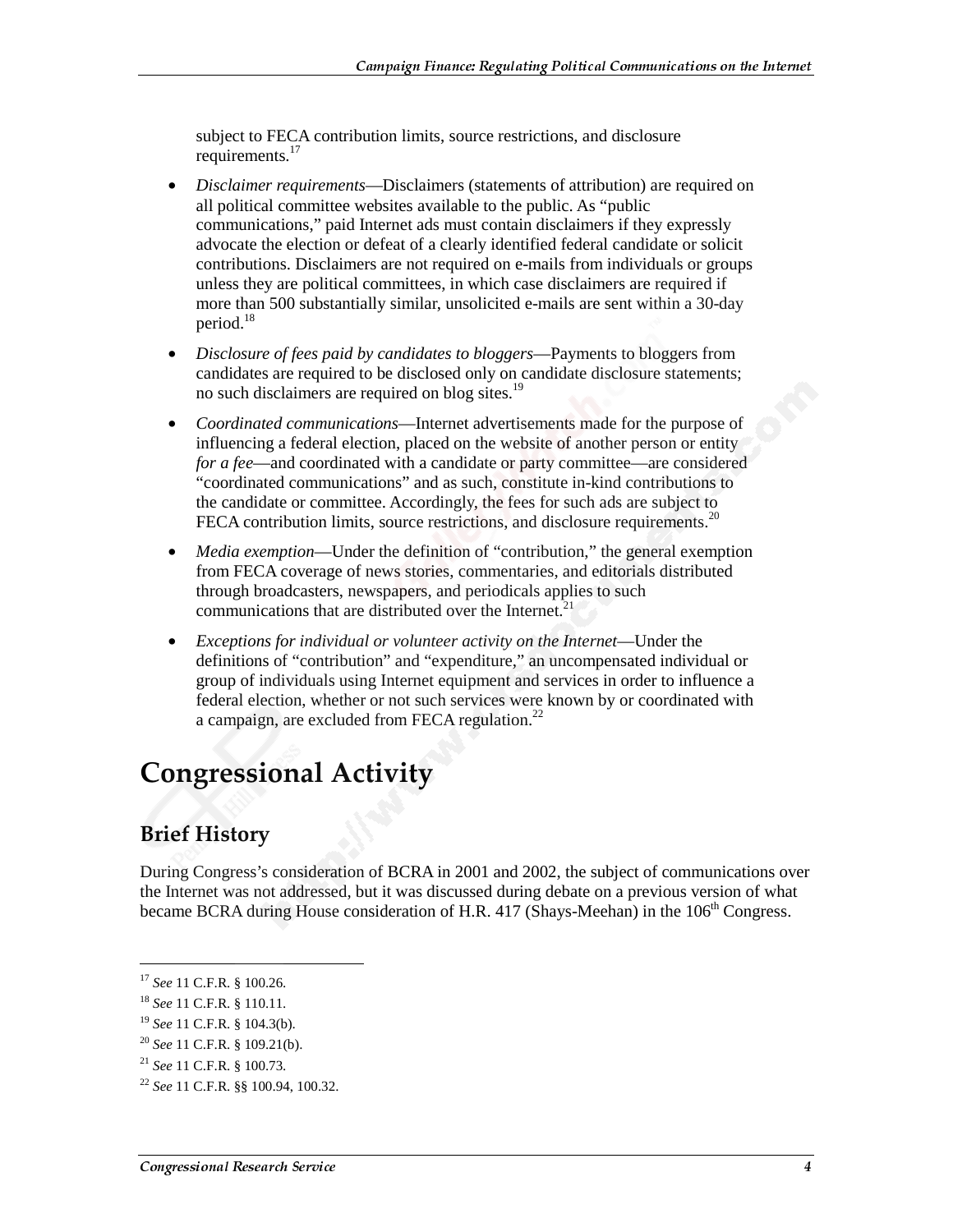subject to FECA contribution limits, source restrictions, and disclosure requirements.<sup>17</sup>

- *Disclaimer requirements*—Disclaimers (statements of attribution) are required on all political committee websites available to the public. As "public communications," paid Internet ads must contain disclaimers if they expressly advocate the election or defeat of a clearly identified federal candidate or solicit contributions. Disclaimers are not required on e-mails from individuals or groups unless they are political committees, in which case disclaimers are required if more than 500 substantially similar, unsolicited e-mails are sent within a 30-day period.<sup>18</sup>
- *Disclosure of fees paid by candidates to bloggers*—Payments to bloggers from candidates are required to be disclosed only on candidate disclosure statements; no such disclaimers are required on blog sites.<sup>19</sup>
- *Coordinated communications*—Internet advertisements made for the purpose of influencing a federal election, placed on the website of another person or entity *for a fee*—and coordinated with a candidate or party committee—are considered "coordinated communications" and as such, constitute in-kind contributions to the candidate or committee. Accordingly, the fees for such ads are subject to FECA contribution limits, source restrictions, and disclosure requirements.<sup>20</sup>
- *Media exemption*—Under the definition of "contribution," the general exemption from FECA coverage of news stories, commentaries, and editorials distributed through broadcasters, newspapers, and periodicals applies to such communications that are distributed over the Internet.<sup>2</sup>
- *Exceptions for individual or volunteer activity on the Internet—*Under the definitions of "contribution" and "expenditure," an uncompensated individual or group of individuals using Internet equipment and services in order to influence a federal election, whether or not such services were known by or coordinated with a campaign, are excluded from FECA regulation. $^{22}$

# **Congressional Activity**

### **Brief History**

During Congress's consideration of BCRA in 2001 and 2002, the subject of communications over the Internet was not addressed, but it was discussed during debate on a previous version of what became BCRA during House consideration of H.R. 417 (Shays-Meehan) in the  $106<sup>th</sup>$  Congress.

 $\overline{a}$ 

<sup>17</sup> *See* 11 C.F.R. § 100.26.

<sup>18</sup> *See* 11 C.F.R. § 110.11.

<sup>19</sup> *See* 11 C.F.R. § 104.3(b).

<sup>20</sup> *See* 11 C.F.R. § 109.21(b).

<sup>21</sup> *See* 11 C.F.R. § 100.73.

<sup>22</sup> *See* 11 C.F.R. §§ 100.94, 100.32.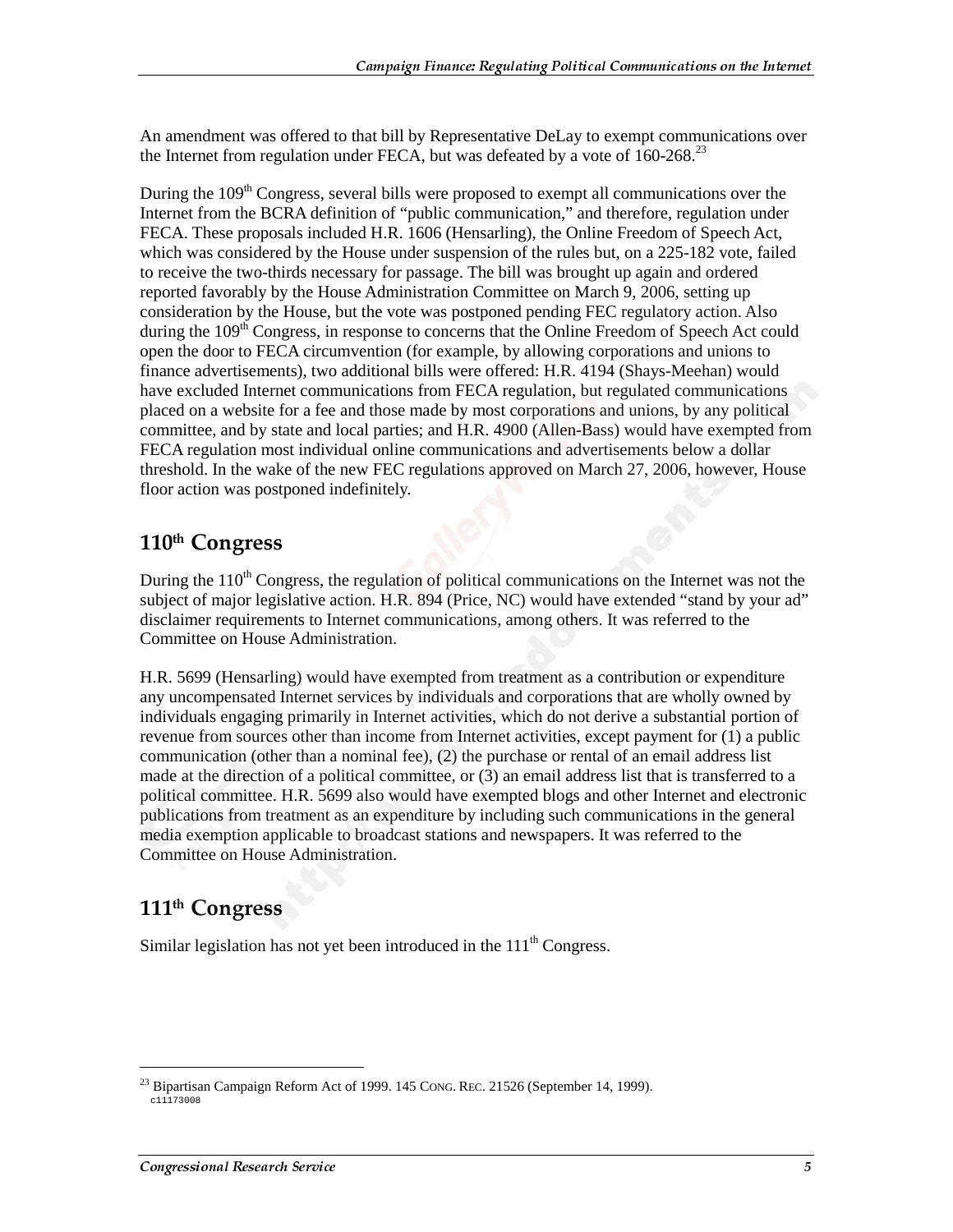An amendment was offered to that bill by Representative DeLay to exempt communications over the Internet from regulation under FECA, but was defeated by a vote of  $160-268$ <sup>23</sup>

During the 109<sup>th</sup> Congress, several bills were proposed to exempt all communications over the Internet from the BCRA definition of "public communication," and therefore, regulation under FECA. These proposals included H.R. 1606 (Hensarling), the Online Freedom of Speech Act, which was considered by the House under suspension of the rules but, on a 225-182 vote, failed to receive the two-thirds necessary for passage. The bill was brought up again and ordered reported favorably by the House Administration Committee on March 9, 2006, setting up consideration by the House, but the vote was postponed pending FEC regulatory action. Also during the 109<sup>th</sup> Congress, in response to concerns that the Online Freedom of Speech Act could open the door to FECA circumvention (for example, by allowing corporations and unions to finance advertisements), two additional bills were offered: H.R. 4194 (Shays-Meehan) would have excluded Internet communications from FECA regulation, but regulated communications placed on a website for a fee and those made by most corporations and unions, by any political committee, and by state and local parties; and H.R. 4900 (Allen-Bass) would have exempted from FECA regulation most individual online communications and advertisements below a dollar threshold. In the wake of the new FEC regulations approved on March 27, 2006, however, House floor action was postponed indefinitely.

#### 110th Congress

During the  $110<sup>th</sup>$  Congress, the regulation of political communications on the Internet was not the subject of major legislative action. H.R. 894 (Price, NC) would have extended "stand by your ad" disclaimer requirements to Internet communications, among others. It was referred to the Committee on House Administration.

H.R. 5699 (Hensarling) would have exempted from treatment as a contribution or expenditure any uncompensated Internet services by individuals and corporations that are wholly owned by individuals engaging primarily in Internet activities, which do not derive a substantial portion of revenue from sources other than income from Internet activities, except payment for (1) a public communication (other than a nominal fee), (2) the purchase or rental of an email address list made at the direction of a political committee, or (3) an email address list that is transferred to a political committee. H.R. 5699 also would have exempted blogs and other Internet and electronic publications from treatment as an expenditure by including such communications in the general media exemption applicable to broadcast stations and newspapers. It was referred to the Committee on House Administration.

### 111<sup>th</sup> Congress

j

Similar legislation has not yet been introduced in the  $111<sup>th</sup>$  Congress.

<sup>&</sup>lt;sup>23</sup> Bipartisan Campaign Reform Act of 1999. 145 CONG. REC. 21526 (September 14, 1999).  $c11173008$